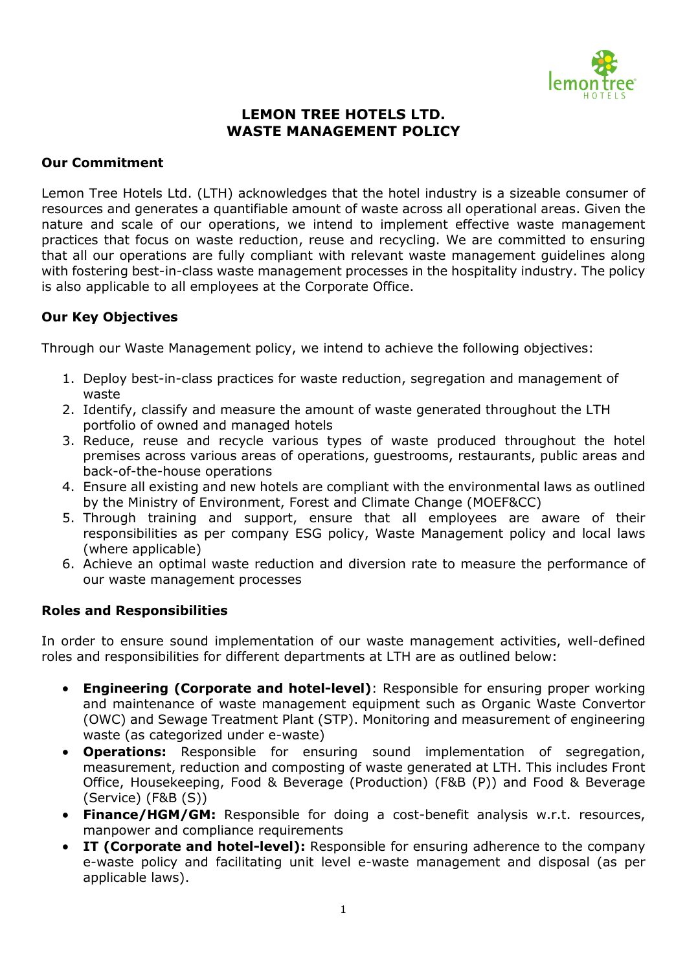

# **LEMON TREE HOTELS LTD. WASTE MANAGEMENT POLICY**

### **Our Commitment**

Lemon Tree Hotels Ltd. (LTH) acknowledges that the hotel industry is a sizeable consumer of resources and generates a quantifiable amount of waste across all operational areas. Given the nature and scale of our operations, we intend to implement effective waste management practices that focus on waste reduction, reuse and recycling. We are committed to ensuring that all our operations are fully compliant with relevant waste management guidelines along with fostering best-in-class waste management processes in the hospitality industry. The policy is also applicable to all employees at the Corporate Office.

## **Our Key Objectives**

Through our Waste Management policy, we intend to achieve the following objectives:

- 1. Deploy best-in-class practices for waste reduction, segregation and management of waste
- 2. Identify, classify and measure the amount of waste generated throughout the LTH portfolio of owned and managed hotels
- 3. Reduce, reuse and recycle various types of waste produced throughout the hotel premises across various areas of operations, guestrooms, restaurants, public areas and back-of-the-house operations
- 4. Ensure all existing and new hotels are compliant with the environmental laws as outlined by the Ministry of Environment, Forest and Climate Change (MOEF&CC)
- 5. Through training and support, ensure that all employees are aware of their responsibilities as per company ESG policy, Waste Management policy and local laws (where applicable)
- 6. Achieve an optimal waste reduction and diversion rate to measure the performance of our waste management processes

### **Roles and Responsibilities**

In order to ensure sound implementation of our waste management activities, well-defined roles and responsibilities for different departments at LTH are as outlined below:

- **Engineering (Corporate and hotel-level)**: Responsible for ensuring proper working and maintenance of waste management equipment such as Organic Waste Convertor (OWC) and Sewage Treatment Plant (STP). Monitoring and measurement of engineering waste (as categorized under e-waste)
- **Operations:** Responsible for ensuring sound implementation of segregation, measurement, reduction and composting of waste generated at LTH. This includes Front Office, Housekeeping, Food & Beverage (Production) (F&B (P)) and Food & Beverage (Service) (F&B (S))
- **Finance/HGM/GM:** Responsible for doing a cost-benefit analysis w.r.t. resources, manpower and compliance requirements
- **IT (Corporate and hotel-level):** Responsible for ensuring adherence to the company e-waste policy and facilitating unit level e-waste management and disposal (as per applicable laws).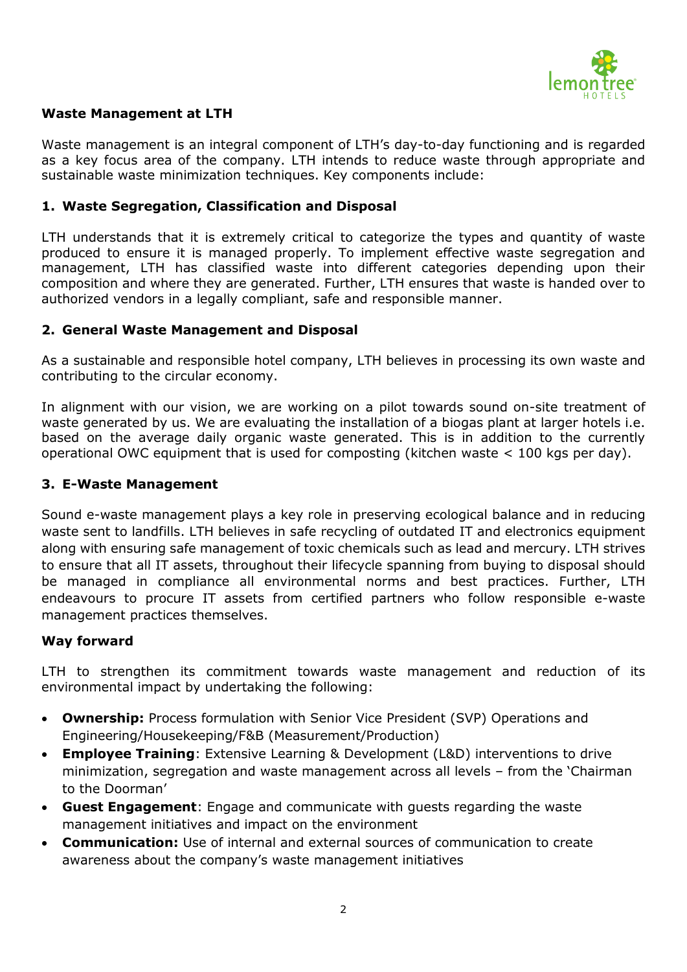

### **Waste Management at LTH**

Waste management is an integral component of LTH's day-to-day functioning and is regarded as a key focus area of the company. LTH intends to reduce waste through appropriate and sustainable waste minimization techniques. Key components include:

### **1. Waste Segregation, Classification and Disposal**

LTH understands that it is extremely critical to categorize the types and quantity of waste produced to ensure it is managed properly. To implement effective waste segregation and management, LTH has classified waste into different categories depending upon their composition and where they are generated. Further, LTH ensures that waste is handed over to authorized vendors in a legally compliant, safe and responsible manner.

#### **2. General Waste Management and Disposal**

As a sustainable and responsible hotel company, LTH believes in processing its own waste and contributing to the circular economy.

In alignment with our vision, we are working on a pilot towards sound on-site treatment of waste generated by us. We are evaluating the installation of a biogas plant at larger hotels i.e. based on the average daily organic waste generated. This is in addition to the currently operational OWC equipment that is used for composting (kitchen waste < 100 kgs per day).

#### **3. E-Waste Management**

Sound e-waste management plays a key role in preserving ecological balance and in reducing waste sent to landfills. LTH believes in safe recycling of outdated IT and electronics equipment along with ensuring safe management of toxic chemicals such as lead and mercury. LTH strives to ensure that all IT assets, throughout their lifecycle spanning from buying to disposal should be managed in compliance all environmental norms and best practices. Further, LTH endeavours to procure IT assets from certified partners who follow responsible e-waste management practices themselves.

#### **Way forward**

LTH to strengthen its commitment towards waste management and reduction of its environmental impact by undertaking the following:

- **Ownership:** Process formulation with Senior Vice President (SVP) Operations and Engineering/Housekeeping/F&B (Measurement/Production)
- **Employee Training**: Extensive Learning & Development (L&D) interventions to drive minimization, segregation and waste management across all levels – from the 'Chairman to the Doorman'
- **Guest Engagement**: Engage and communicate with guests regarding the waste management initiatives and impact on the environment
- **Communication:** Use of internal and external sources of communication to create awareness about the company's waste management initiatives